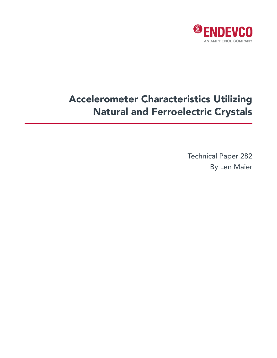

# Accelerometer Characteristics Utilizing Natural and Ferroelectric Crystals

Technical Paper 282 By Len Maier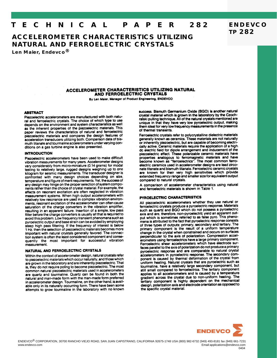#### E C H N I C A L T PAPFR  $282$

# **ACCELEROMETER CHARACTERISTICS UTILIZING NATURAL AND FERROELECTRIC CRYSTALS**

Len Maier, Endevco<sup>®</sup>

# ACCELEROMETER CHARACTERISTICS UTILIZING NATURAL AND FERROELECTRIC CRYSTALS

By Len Maier, Manager of Product Engineering, ENDEVCO

### **ABSTRACT**

Piezoelectric accelerometers are manufactured with both natural and ferroelectric crystals. The choice of which type to use depends on the environment and system characteristics as well as the inherent properties of the piezoelectric materials. This paper reviews the characteristics of natural and ferroelectric piezoelectric materials and compares the design features of acceleration transducers utilizing both. Comparison data of bismuth titanate and tourmaline accelerometers under varying conditions on a gas turbine engine is also presented.

# **INTRODUCTION**

Piezoelectric accelerometers have been used to make difficult vibration measurements for many years. Accelerometer designs vary considerably from micro-miniature (0.14 grams) for modal testing to relatively large, rugged designs weighing up to one kilogram for seismic measurements. The transducer designer is confronted with many design choices depending on size,<br>temperature and figure of merit requirements. Yet, the success of any design may hinge on the proper selection of system components rather than the choice of crystal material. For example, the effects on resonant excitation are often neglected in vibration measurement systems. When high output accelerometers with relatively low resonance are used in complex vibration environments, resonant excitation of the accelerometer can often cause saturation of the charge converters in the vibration amplifier, resulting in an apparent failure. Insertion of a simple, low pass filter before the charge converters is usually all that is required to avoid this problem. Low frequency transient phenomena such as pyroelectric output and base strain can be avoided by employing steep high pass filtering. If the frequency of interest is below 1 Hz, then the selection of piezoelectric materials becomes more important with natural crystals generally favored. The connection system is often the least considered component and consequently the most important for successful vibration measurement.

#### NATURAL AND FERROELECTRIC CRYSTALS

Within the context of accelerometer design, natural crystals refer to piezoelectric materials which occur naturally, and those which are grown in the laboratory and are inherently piezoelectric. That is, they do not require poling to become piezoelectric. The most common natural piezoelectric materials used in accelerometers are quartz and tourmaline. Quartz can be found in both the natural and man-made form with the man-made form preferred in accelerometer design. Tourmaline, on the other hand, is available only in its naturally occurring form. There have been some attempts to grow tourmaline in the laboratory with no known success. Bismuth Germanium Oxide (BGO) is another natural crystal material which is grown in the laboratory by the Czochralski pulling technique. All of the natural crystals mentioned are unique in that they have very low pyroelectric output, making them ideal for very low frequency measurements in the presence of thermal transients.

**ENDEVCO** 

**TP 282** 

Ferroelectric crystals refer to polycrystalline dielectric materials<br>generally known as ceramics. These materials are not naturally<br>or inherently piezoelectric, but are capable of becoming electrically active. Ceramic materials require the application of a high. dc electric field for dipole arrangement and inducement of the piezoelectric effect. These polarizable ceramic materials have properties analogous to ferromagnetic materials and have become known as "ferroelectrics". The most common ferroelectric ceramics used in accelerometer designs are lead zirconate titanate and bismuth titanate. Ferroelectric ceramic crystals are known for their very high sensitivities which provide extended frequency range and smaller size for equivalent output compared to natural crystals.

A comparison of accelerometer characteristics using natural and ferroelectric materials is shown in Table 1.

# PYROELECTRIC CHARACTERISTICS

All piezoelectric accelerometers whether they use natural or ferroelectric crystals produce a pyroelectric response. Materials such as quartz and BGO which do not possess a pyroelectric axis and are, therefore, non-pyroelectric yield an apparent output which is sometimes referred to as false pyro. This phenomena is attributed to the fact that pyroelectric response consists of three types of outputs; primary, secondary and tertiary. The<br>primary component is the result of a uniform temperature change in the crystal when constrained and occurs on surfaces perpendicular to the axis of polarization. Compression accelerometers using ferroelectrics have a large primary component. Ferroelectric shear accelerometers which have electrode surfaces parallel to the axis of polarization do not produce a primary pyroelectric response and are comparable to natural crystal accelerometers in pyroelectric response. The secondary component is caused by thermal deformation of the crystal from uniform heating. Natural crystals that are pyroelectric such as tourmaline, have a relatively large secondary component, but still small compared to ferroelectrics. The tertiary component applies to all accelerometers and is caused by a temperature gradient across the crystal due to non-uniform heating. The tertiary component is highly dependent on the mechanical design, polarization axis and electrode orientation as opposed to the specific crystal material.

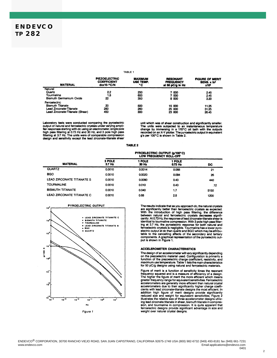#### TABLE<sub>.1</sub>

| <b>MATERIAL</b>                 | <b>PIEZOELECTRIC</b><br><b>COEFFICIENT</b><br>dxx10- <sup>12</sup> C/N | <b>MAXIMUM</b><br>USE TEMP.<br>۰c | <b>RESONANT</b><br><b>FREQUENCY</b><br>at 50 pC/g in Hz | <b>FIGURE OF MERIT</b><br>SENS. x fn <sup>2</sup><br><b>x10</b> |
|---------------------------------|------------------------------------------------------------------------|-----------------------------------|---------------------------------------------------------|-----------------------------------------------------------------|
| Natural                         |                                                                        |                                   |                                                         |                                                                 |
| Quartz                          | 22                                                                     | 250                               | 7000                                                    | 2.45                                                            |
| Tourmaline                      | 1.8                                                                    | 600                               | 7000                                                    | 2.45                                                            |
| <b>Bismuth Germanium Oxide</b>  | 22                                                                     | 350                               | 8 000                                                   | 3.20                                                            |
| Ferroelectric                   |                                                                        |                                   |                                                         |                                                                 |
| <b>Bismuth Titanate</b>         | 20                                                                     | 500                               | 15 000                                                  | 11.25                                                           |
| Lead Zirconate-Titanate         | 280                                                                    | 260                               | 25 000                                                  | 31.25                                                           |
| Lead Zirconate-Titanate (Shear) | 450                                                                    | 300                               | 23 000                                                  | 26.45                                                           |

Laboratory tests were conducted comparing the pyroelectric<br>output of natural and ferroelectric crystals under varying ampli-<br>fier responses starting with dc using an electrometier, single pole<br>high pass filtering at 0.73 H design and sensitivity except the lead zirconate-titanate shear

unit which was of shear construction and significantly smaller. The units were subjected to an instantaneous temperature<br>change by immersing in a 120°C oil bath with the outputs<br>recorded on an X-Y plotter. The pyroelectric output in equivalent g's per 100°C is shown in Table 2.

#### **TABLE 2**

|                           | PYROELECTRIC OUTPUT (g/100°C)<br>LOW FREQUENCY ROLL-OFF |                 |                   |      |  |
|---------------------------|---------------------------------------------------------|-----------------|-------------------|------|--|
| <b>MATERIAL</b>           | 3 POLE<br>$3.7$ Hz                                      | 1 POLE<br>30 Hz | 1 POLE<br>0.73 Hz | DC   |  |
| <b>QUARTZ</b>             | 0.0010                                                  | 0.0014          | 0.068             | 21   |  |
| <b>BGO</b>                | 0.0010                                                  | 0.0020          | 0.094             | 26   |  |
| LEAD ZIRCONATE TITANATE S | 0.0010                                                  | 0.0090          | 0.43              | 440  |  |
| <b>TOURMALINE</b>         | 0.0010                                                  | 0.010           | 0.43              | .12  |  |
| <b>BISMUTH TITANATE</b>   | 0.0010                                                  | 0.040           | 1.7               | 5150 |  |
| LEAD ZIRCONATE TITANATE C | 0.0010                                                  | 0.68            | 2.8               | 1200 |  |



The results indicate that as you approach dc, the natural crystals<br>are significantly better than ferroelectric crystals as expected. with the introduction of high pass filtering, the difference<br>between natural and ferroelectric crystals decreases significantly. At 0.73 Hz, the response of lead zirconate-titanate shear is identical to tournaline compression. With 3 pole high pass filtering at 3.7 Hz, the pyroelectric response for both natural and Figure 3.7 Fig. in expresence response for both natural and<br>ferroelectric crystals is negligible. Tournaline has a lower pyro-<br>electric output at dc than quartz and BGO which may be attribute<br>to the cancelling affects of t

#### **ACCELEROMETER CHARACTERISTICS**

The design of an accelerometer will vary significantly depending on the piezoelectric material used. Configuration is primarily a<br>function of the piezoelectric charge coefficient, resistivity, and<br>maximum use temperature. Table 1 lists the main characteristics for 50 pC/g designs using natural and ferroelectric materials.

Figure of merit is a function of sensitivity times the resonant<br>frequency squared and is a measure of efficiency of a design.<br>The higher the figure of merit the more efficient which means The inginer the rigure of ment the more efficient which means<br>accelerometers are generally more efficient than natural crystal<br>accelerometers are generally more efficient than natural crystal<br>accelerometers due to their si sion, and tourmaline in compression. It is quite apparent that ferroelectric designs provide significant advantage in size and weight over natural crystal designs.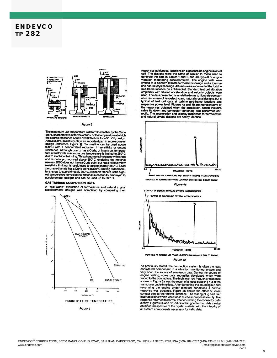

**Figure 2** 

The maximum use temperature is determined either by the Curie<br>point, characteristic of ferroelectrics, or the temperature at which<br>the source resistance equals 100 000 ohms for a 50 pC/g design.<br>Above 300°C resistivity pl Above source resistivity plays an important part in accelerometer<br>design (reference Figure 3). Tourmaline can be used above<br>600°C with a concomitant reduction in sensitivity or output bow the assistance. Although quartz has a Curie, or inversion, temperature at 573°C its maximum use temperature is limited to 250°C due to electrical twinning. This phenomena increases with stress and is quite pronounced a resistivity limiting its usefulness to approximately 350°C. Lead<br>zirconate-titanate has a Curie point at 370°C limiting its temperature<br>zirconate-titanate has a Curie point at 370°C limiting its temperature<br>are range to ap accelerometer designs and can be used up to 500°C.

#### **GAS TURBINE COMPARISON DATA**

A "real world" evaluation of ferroelectric and natural crystal accelerometer designs was completed by comparing their



responses at identical locations on a gas turbine engine in a test cell. The designs were the same or similar to those used to<br>generate the data in Tables 1 and 2, and are typical of engine<br>whration monitoring accelerometers. The engine tests were vibration information determinerates. The engine tests were<br>limited to a bismuth titanate ferroelectric design and a tourna-<br>line natural crystal design. All units were mounted at the turbine<br>mid-frame location on a T-brac used. The data presented is in relative terms to illustrate comparative responses of ferroelectric and natural crystal designs, but is typical of test cell data at turbine mid-frame locations and responses obtained when th



**Figure 4b** 

As previously stated, the connection system is often the least considered component in a vibration monitoring system and<br>very often the source of erroneous data. During the course of Figure testing, some data anomalies developed which were<br>traced to the connectors. The high level low frequency response<br>shown in Figure 5a was the result of a loose coupling nut at the shown in Figure 5a was the result of a loose coupling nut at the<br>transforce rable interface. After tightening the coupling nut and<br>re-running the engine under identical conditions a normal<br>response was obtained. Figure 5b obtained irrespective of the crystal material with the integrity of all system components necessary for valid data.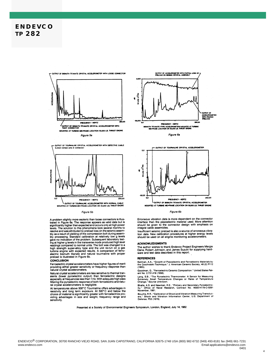



#### Figure 5b

A problem slightly more esoteric than loose connectors is illustrated in Figure 6a. The response appears as valid data but is significantly higher than expected and occurs only at high power levels. The solution to this ph

#### **CONCLUSION**

Ferroelectric crystal accelerometers have higher figures of merit providing either greater sensitivity or frequency response than<br>natural crystal accelerometers.

Natural crystal accelerometers are less sensitive to thermal transients (lower pyroelectric output) than ferroelectric designs especially at frequencies less than 1 Hz. With adequate high pass the filtering the pyroelectri

ral crystal accelerometers is negligible.<br>At temperatures above 500°C Tourmaline offers advantages in The international long term exposure. At 500°C and below the resistivity and long term exposure. At 500°C and below the choice of material is significantly greater with ferroelectrics providing advantages in size and weigh sensitivity.









Erroneous vibration data is more dependent on the connector<br>interface than the piezoelectric material used. More attention<br>should be given to the connector design with emphasis on integral cable assemblies.

Insufficient seismic preload is also a source of erroneous vibra-<br>tion data. New calibration procedures at higher energy levels<br>should be used on all engine monitoring accelerometers.

#### **ACKNOWLEDGMENTS**

The author wishes to thank Endevco Project Engineers Margie<br>Dana, Robert Johnson, and James Suzuki for supplying hardware and test data described in this report.

#### **REFERENCES**

Ballman, A.A., "Growth of Piezoelectric and Ferroelectric Materials by<br>the Czochralski Technique." J. American Ceramic Society, 48 (2) P112  $(1965)$ .

Goodman, G., "Ferroelectric Ceramic Composition." United States Patent No. 2,731,419 (1956).

Lang, S.B., "The Pyroelectric Thermometer: A Sensor for Measuring<br>Extremely Small Temperature Changes or Rates of Temperature<br>Change," Source Unknown.

Bhalla, A.S. and Newman, R.E., "Primary and Secondary Pyroelectricity," Office of Naval Research, Contract No. N00014-78-C-0291<br>November, 1981.

Houche, R.R., "Calibration of Shock and Vibration Measuring Transductors." Shock and Vibration Information Center, U.S. Department of Defense, P53 (1979).

Presented at a Society of Environmental Engineers Symposium, London, England, July 14, 1982